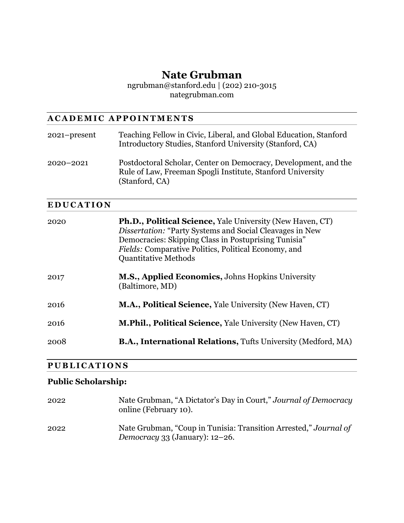# **Nate Grubman**

ngrubman@stanford.edu | (202) 210-3015 nategrubman.com

# **A CADEMIC APPOINTMENTS**

| 2021-present     | Teaching Fellow in Civic, Liberal, and Global Education, Stanford<br>Introductory Studies, Stanford University (Stanford, CA)                                                                                                                                        |
|------------------|----------------------------------------------------------------------------------------------------------------------------------------------------------------------------------------------------------------------------------------------------------------------|
| 2020-2021        | Postdoctoral Scholar, Center on Democracy, Development, and the<br>Rule of Law, Freeman Spogli Institute, Stanford University<br>(Stanford, CA)                                                                                                                      |
| <b>EDUCATION</b> |                                                                                                                                                                                                                                                                      |
| 2020             | Ph.D., Political Science, Yale University (New Haven, CT)<br>Dissertation: "Party Systems and Social Cleavages in New<br>Democracies: Skipping Class in Postuprising Tunisia"<br>Fields: Comparative Politics, Political Economy, and<br><b>Quantitative Methods</b> |
| 2017             | <b>M.S., Applied Economics, Johns Hopkins University</b><br>(Baltimore, MD)                                                                                                                                                                                          |
| 2016             | <b>M.A., Political Science, Yale University (New Haven, CT)</b>                                                                                                                                                                                                      |
| 2016             | <b>M.Phil., Political Science, Yale University (New Haven, CT)</b>                                                                                                                                                                                                   |
| 2008             | <b>B.A., International Relations, Tufts University (Medford, MA)</b>                                                                                                                                                                                                 |

# **PUBLICATIONS**

# **Public Scholarship:**

| 2022 | Nate Grubman, "A Dictator's Day in Court," Journal of Democracy<br>online (February 10).              |
|------|-------------------------------------------------------------------------------------------------------|
| 2022 | Nate Grubman, "Coup in Tunisia: Transition Arrested," Journal of<br>Democracy 33 (January): $12-26$ . |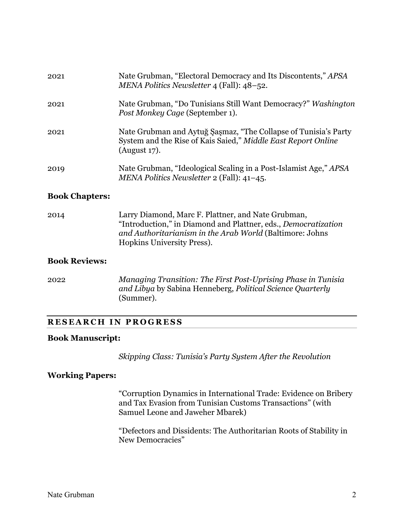| 2021 | Nate Grubman, "Electoral Democracy and Its Discontents," APSA<br>MENA Politics Newsletter 4 (Fall): 48–52.                                       |
|------|--------------------------------------------------------------------------------------------------------------------------------------------------|
| 2021 | Nate Grubman, "Do Tunisians Still Want Democracy?" Washington<br>Post Monkey Cage (September 1).                                                 |
| 2021 | Nate Grubman and Aytuğ Şaşmaz, "The Collapse of Tunisia's Party<br>System and the Rise of Kais Saied," Middle East Report Online<br>(August 17). |
| 2019 | Nate Grubman, "Ideological Scaling in a Post-Islamist Age," APSA<br>MENA Politics Newsletter 2 (Fall): 41-45.                                    |

#### **Book Chapters:**

| 2014 | Larry Diamond, Marc F. Plattner, and Nate Grubman,             |
|------|----------------------------------------------------------------|
|      | "Introduction," in Diamond and Plattner, eds., Democratization |
|      | and Authoritarianism in the Arab World (Baltimore: Johns       |
|      | Hopkins University Press).                                     |

#### **Book Reviews:**

2022 *Managing Transition: The First Post-Uprising Phase in Tunisia and Libya* by Sabina Henneberg, *Political Science Quarterly* (Summer).

#### **RESEARCH I N PR OGRESS**

#### **Book Manuscript:**

*Skipping Class: Tunisia's Party System After the Revolution*

#### **Working Papers:**

"Corruption Dynamics in International Trade: Evidence on Bribery and Tax Evasion from Tunisian Customs Transactions" (with Samuel Leone and Jaweher Mbarek)

"Defectors and Dissidents: The Authoritarian Roots of Stability in New Democracies"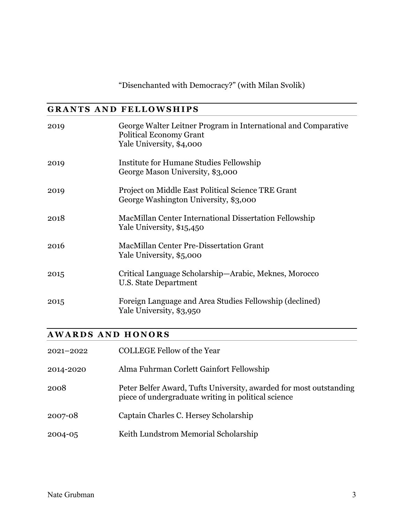"Disenchanted with Democracy?" (with Milan Svolik)

# **G RANTS A ND FELLOWSHIPS**

| 2019 | George Walter Leitner Program in International and Comparative<br><b>Political Economy Grant</b><br>Yale University, \$4,000 |
|------|------------------------------------------------------------------------------------------------------------------------------|
| 2019 | Institute for Humane Studies Fellowship<br>George Mason University, \$3,000                                                  |
| 2019 | Project on Middle East Political Science TRE Grant<br>George Washington University, \$3,000                                  |
| 2018 | MacMillan Center International Dissertation Fellowship<br>Yale University, \$15,450                                          |
| 2016 | <b>MacMillan Center Pre-Dissertation Grant</b><br>Yale University, \$5,000                                                   |
| 2015 | Critical Language Scholarship—Arabic, Meknes, Morocco<br>U.S. State Department                                               |
| 2015 | Foreign Language and Area Studies Fellowship (declined)<br>Yale University, \$3,950                                          |

### **AWARDS AND HONORS**

| $2021 - 2022$ | <b>COLLEGE Fellow of the Year</b>                                                                                         |
|---------------|---------------------------------------------------------------------------------------------------------------------------|
| 2014-2020     | Alma Fuhrman Corlett Gainfort Fellowship                                                                                  |
| 2008          | Peter Belfer Award, Tufts University, awarded for most outstanding<br>piece of undergraduate writing in political science |
| 2007-08       | Captain Charles C. Hersey Scholarship                                                                                     |
| 2004-05       | Keith Lundstrom Memorial Scholarship                                                                                      |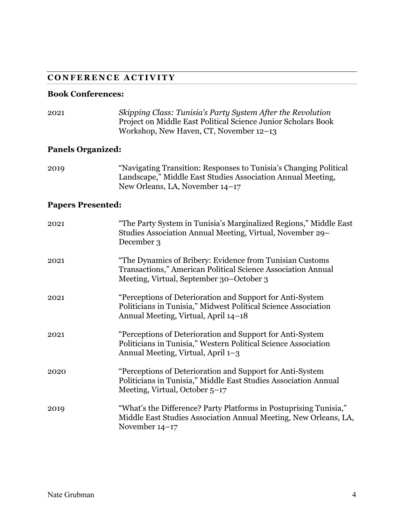#### **C O NFERENCE ACTIVITY**

#### **Book Conferences:**

2021 *Skipping Class: Tunisia's Party System After the Revolution* Project on Middle East Political Science Junior Scholars Book Workshop, New Haven, CT, November 12–13

#### **Panels Organized:**

2019 "Navigating Transition: Responses to Tunisia's Changing Political Landscape," Middle East Studies Association Annual Meeting, New Orleans, LA, November 14–17

#### **Papers Presented:**

| 2021 | "The Party System in Tunisia's Marginalized Regions," Middle East<br>Studies Association Annual Meeting, Virtual, November 29–<br>December 3                         |
|------|----------------------------------------------------------------------------------------------------------------------------------------------------------------------|
| 2021 | "The Dynamics of Bribery: Evidence from Tunisian Customs<br>Transactions," American Political Science Association Annual<br>Meeting, Virtual, September 30–October 3 |
| 2021 | "Perceptions of Deterioration and Support for Anti-System<br>Politicians in Tunisia," Midwest Political Science Association<br>Annual Meeting, Virtual, April 14-18  |
| 2021 | "Perceptions of Deterioration and Support for Anti-System<br>Politicians in Tunisia," Western Political Science Association<br>Annual Meeting, Virtual, April 1–3    |
| 2020 | "Perceptions of Deterioration and Support for Anti-System<br>Politicians in Tunisia," Middle East Studies Association Annual<br>Meeting, Virtual, October $5-17$     |
| 2019 | "What's the Difference? Party Platforms in Postuprising Tunisia,"<br>Middle East Studies Association Annual Meeting, New Orleans, LA,<br>November $14-17$            |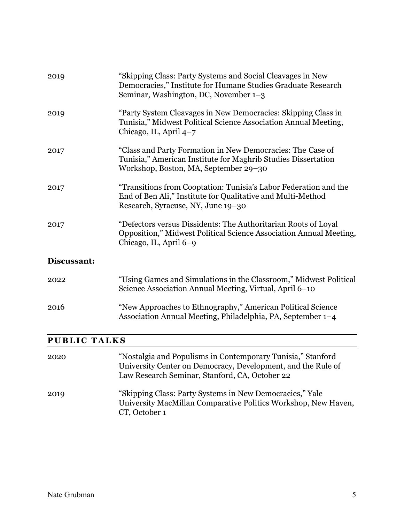| 2019                | "Skipping Class: Party Systems and Social Cleavages in New<br>Democracies," Institute for Humane Studies Graduate Research<br>Seminar, Washington, DC, November 1–3           |
|---------------------|-------------------------------------------------------------------------------------------------------------------------------------------------------------------------------|
| 2019                | "Party System Cleavages in New Democracies: Skipping Class in<br>Tunisia," Midwest Political Science Association Annual Meeting,<br>Chicago, IL, April $4-7$                  |
| 2017                | "Class and Party Formation in New Democracies: The Case of<br>Tunisia," American Institute for Maghrib Studies Dissertation<br>Workshop, Boston, MA, September 29-30          |
| 2017                | "Transitions from Cooptation: Tunisia's Labor Federation and the<br>End of Ben Ali," Institute for Qualitative and Multi-Method<br>Research, Syracuse, NY, June 19-30         |
| 2017                | "Defectors versus Dissidents: The Authoritarian Roots of Loyal<br>Opposition," Midwest Political Science Association Annual Meeting,<br>Chicago, IL, April 6–9                |
| Discussant:         |                                                                                                                                                                               |
| 2022                | "Using Games and Simulations in the Classroom," Midwest Political<br>Science Association Annual Meeting, Virtual, April 6–10                                                  |
| 2016                | "New Approaches to Ethnography," American Political Science<br>Association Annual Meeting, Philadelphia, PA, September 1–4                                                    |
| <b>PUBLIC TALKS</b> |                                                                                                                                                                               |
| 2020                | "Nostalgia and Populisms in Contemporary Tunisia," Stanford<br>University Center on Democracy, Development, and the Rule of<br>Law Research Seminar, Stanford, CA, October 22 |

2019 "Skipping Class: Party Systems in New Democracies," Yale University MacMillan Comparative Politics Workshop, New Haven, CT, October 1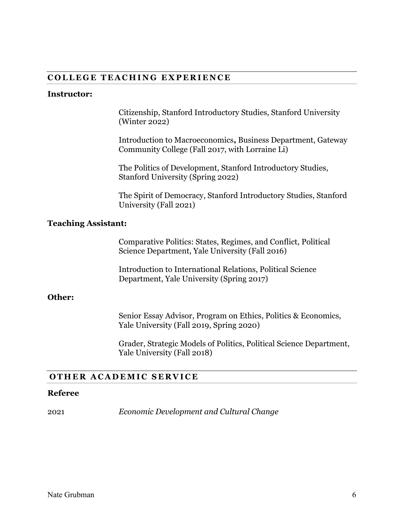#### **COLLEGE TEACHING EXPER IENCE**

#### **Instructor:**

Citizenship, Stanford Introductory Studies, Stanford University (Winter 2022)

Introduction to Macroeconomics**,** Business Department, Gateway Community College (Fall 2017, with Lorraine Li)

The Politics of Development, Stanford Introductory Studies, Stanford University (Spring 2022)

The Spirit of Democracy, Stanford Introductory Studies, Stanford University (Fall 2021)

#### **Teaching Assistant:**

Comparative Politics: States, Regimes, and Conflict, Political Science Department, Yale University (Fall 2016)

Introduction to International Relations, Political Science Department, Yale University (Spring 2017)

#### **Other:**

Senior Essay Advisor, Program on Ethics, Politics & Economics, Yale University (Fall 2019, Spring 2020)

Grader, Strategic Models of Politics, Political Science Department, Yale University (Fall 2018)

#### **OTHER ACADEMIC S ERVICE**

#### **Referee**

2021 *Economic Development and Cultural Change*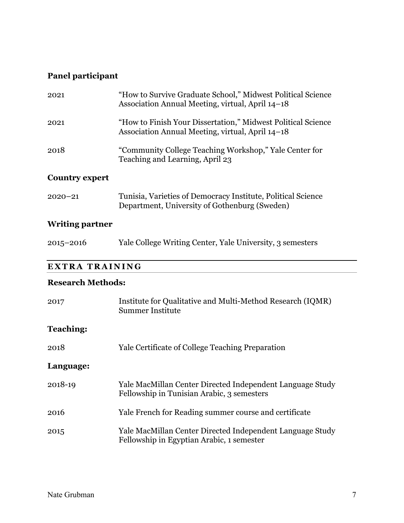### **Panel participant**

| 2021                  | "How to Survive Graduate School," Midwest Political Science<br>Association Annual Meeting, virtual, April 14–18  |
|-----------------------|------------------------------------------------------------------------------------------------------------------|
| 2021                  | "How to Finish Your Dissertation," Midwest Political Science<br>Association Annual Meeting, virtual, April 14–18 |
| 2018                  | "Community College Teaching Workshop," Yale Center for<br>Teaching and Learning, April 23                        |
| <b>Country expert</b> |                                                                                                                  |
| $2020 - 21$           | Tunisia, Varieties of Democracy Institute, Political Science                                                     |

Department, University of Gothenburg (Sweden)

# **Writing partner**

| $2015 - 2016$ | Yale College Writing Center, Yale University, 3 semesters |  |  |
|---------------|-----------------------------------------------------------|--|--|
|               |                                                           |  |  |

# **EXTR A TRAINING**

#### **Research Methods:**

| 2017             | Institute for Qualitative and Multi-Method Research (IQMR)<br><b>Summer Institute</b>                   |
|------------------|---------------------------------------------------------------------------------------------------------|
| <b>Teaching:</b> |                                                                                                         |
| 2018             | Yale Certificate of College Teaching Preparation                                                        |
| Language:        |                                                                                                         |
| 2018-19          | Yale MacMillan Center Directed Independent Language Study<br>Fellowship in Tunisian Arabic, 3 semesters |
| 2016             | Yale French for Reading summer course and certificate                                                   |
| 2015             | Yale MacMillan Center Directed Independent Language Study<br>Fellowship in Egyptian Arabic, 1 semester  |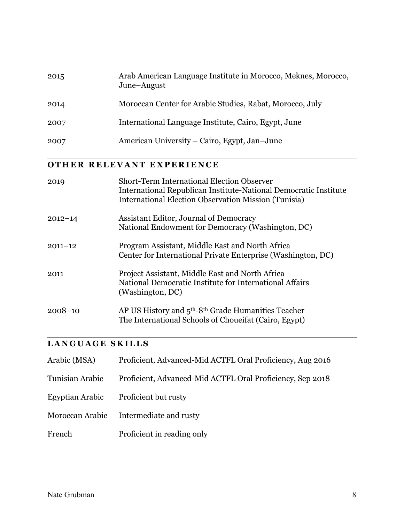| Arab American Language Institute in Morocco, Meknes, Morocco,<br>June-August |
|------------------------------------------------------------------------------|
| Moroccan Center for Arabic Studies, Rabat, Morocco, July                     |
| International Language Institute, Cairo, Egypt, June                         |
| American University – Cairo, Egypt, Jan–June                                 |
|                                                                              |

# **O THER RELEVANT EXPERIENCE**

| 2019        | <b>Short-Term International Election Observer</b><br>International Republican Institute-National Democratic Institute<br><b>International Election Observation Mission (Tunisia)</b> |
|-------------|--------------------------------------------------------------------------------------------------------------------------------------------------------------------------------------|
| $2012 - 14$ | Assistant Editor, Journal of Democracy<br>National Endowment for Democracy (Washington, DC)                                                                                          |
| $2011 - 12$ | Program Assistant, Middle East and North Africa<br>Center for International Private Enterprise (Washington, DC)                                                                      |
| 2011        | Project Assistant, Middle East and North Africa<br>National Democratic Institute for International Affairs<br>(Washington, DC)                                                       |
| $2008 - 10$ | AP US History and 5 <sup>th</sup> -8 <sup>th</sup> Grade Humanities Teacher<br>The International Schools of Choueifat (Cairo, Egypt)                                                 |

### **LANGUAGE SKILLS**

| Arabic (MSA)    | Proficient, Advanced-Mid ACTFL Oral Proficiency, Aug 2016 |
|-----------------|-----------------------------------------------------------|
| Tunisian Arabic | Proficient, Advanced-Mid ACTFL Oral Proficiency, Sep 2018 |
| Egyptian Arabic | Proficient but rusty                                      |
|                 | Moroccan Arabic Intermediate and rusty                    |
| French          | Proficient in reading only                                |